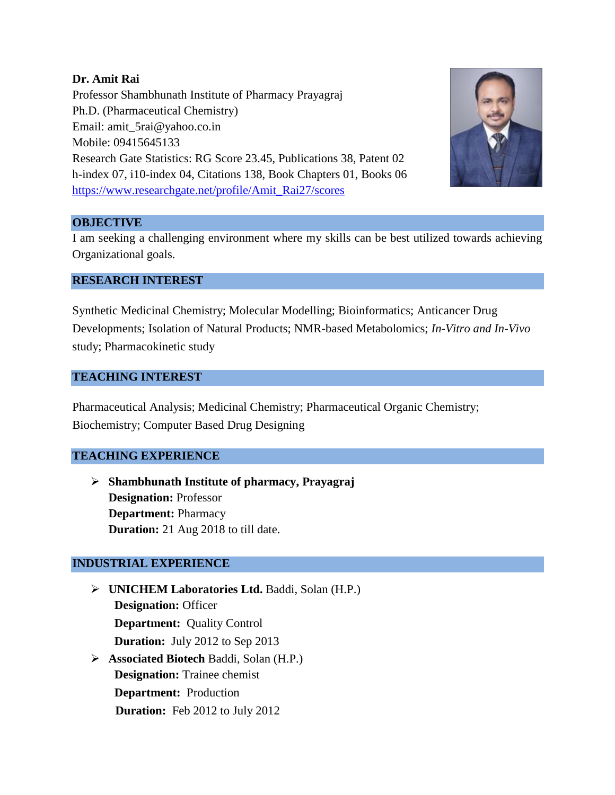### **Dr. Amit Rai**

Professor Shambhunath Institute of Pharmacy Prayagraj Ph.D. (Pharmaceutical Chemistry) Email: amit\_5rai@yahoo.co.in Mobile: 09415645133 Research Gate Statistics: RG Score 23.45, Publications 38, Patent 02 h-index 07, i10-index 04, Citations 138, Book Chapters 01, Books 06 [https://www.researchgate.net/profile/Amit\\_Rai27/scores](https://www.researchgate.net/profile/Amit_Rai27/scores)



### **OBJECTIVE**

I am seeking a challenging environment where my skills can be best utilized towards achieving Organizational goals.

### **RESEARCH INTEREST**

Synthetic Medicinal Chemistry; Molecular Modelling; Bioinformatics; Anticancer Drug Developments; Isolation of Natural Products; NMR-based Metabolomics; *In-Vitro and In-Vivo*  study; Pharmacokinetic study

### **TEACHING INTEREST**

Pharmaceutical Analysis; Medicinal Chemistry; Pharmaceutical Organic Chemistry; Biochemistry; Computer Based Drug Designing

## **TEACHING EXPERIENCE**

 **Shambhunath Institute of pharmacy, Prayagraj Designation:** Professor **Department:** Pharmacy **Duration:** 21 Aug 2018 to till date.

## **INDUSTRIAL EXPERIENCE**

- **UNICHEM Laboratories Ltd.** Baddi, Solan (H.P.) **Designation:** Officer **Department:** Quality Control  **Duration:** July 2012 to Sep 2013 **Associated Biotech** Baddi, Solan (H.P.)
	- **Designation:** Trainee chemist **Department:** Production  **Duration:** Feb 2012 to July 2012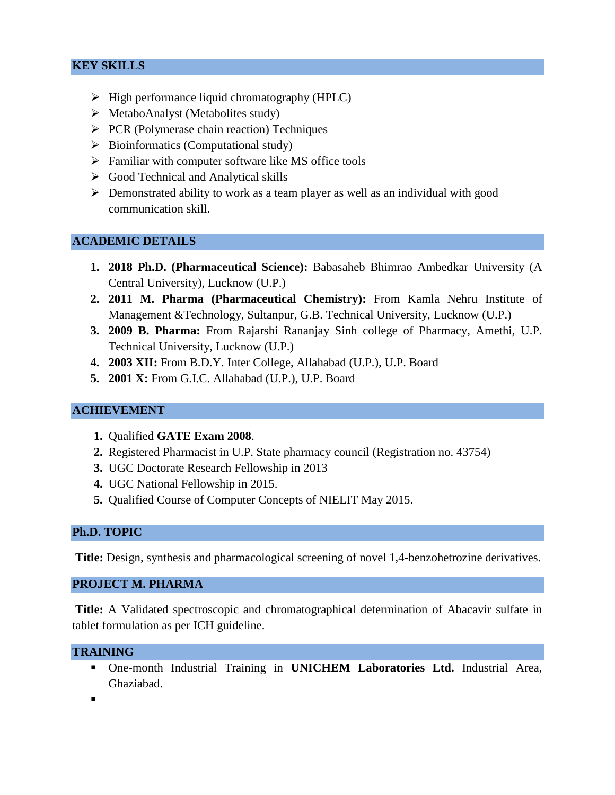## **KEY SKILLS**

- $\triangleright$  High performance liquid chromatography (HPLC)
- $\triangleright$  MetaboAnalyst (Metabolites study)
- $\triangleright$  PCR (Polymerase chain reaction) Techniques
- $\triangleright$  Bioinformatics (Computational study)
- $\triangleright$  Familiar with computer software like MS office tools
- $\triangleright$  Good Technical and Analytical skills
- $\triangleright$  Demonstrated ability to work as a team player as well as an individual with good communication skill.

#### **ACADEMIC DETAILS**

- **1. 2018 Ph.D. (Pharmaceutical Science):** Babasaheb Bhimrao Ambedkar University (A Central University), Lucknow (U.P.)
- **2. 2011 M. Pharma (Pharmaceutical Chemistry):** From Kamla Nehru Institute of Management &Technology, Sultanpur, G.B. Technical University, Lucknow (U.P.)
- **3. 2009 B. Pharma:** From Rajarshi Rananjay Sinh college of Pharmacy, Amethi, U.P. Technical University, Lucknow (U.P.)
- **4. 2003 XII:** From B.D.Y. Inter College, Allahabad (U.P.), U.P. Board
- **5. 2001 X:** From G.I.C. Allahabad (U.P.), U.P. Board

## **ACHIEVEMENT**

- **1.** Qualified **GATE Exam 2008**.
- **2.** Registered Pharmacist in U.P. State pharmacy council (Registration no. 43754)
- **3.** UGC Doctorate Research Fellowship in 2013
- **4.** UGC National Fellowship in 2015.
- **5.** Qualified Course of Computer Concepts of NIELIT May 2015.

#### **Ph.D. TOPIC**

**Title:** Design, synthesis and pharmacological screening of novel 1,4-benzohetrozine derivatives.

#### **PROJECT M. PHARMA**

**Title:** A Validated spectroscopic and chromatographical determination of Abacavir sulfate in tablet formulation as per ICH guideline.

#### **TRAINING**

 One-month Industrial Training in **UNICHEM Laboratories Ltd.** Industrial Area, Ghaziabad.

.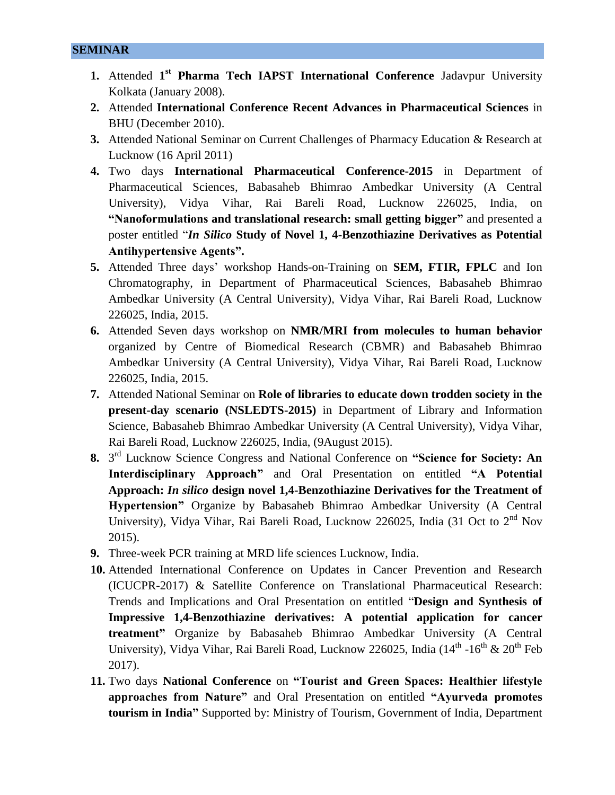**SEMINAR** 

- **1.** Attended 1<sup>st</sup> Pharma Tech IAPST International Conference Jadavpur University Kolkata (January 2008).
- **2.** Attended **International Conference Recent Advances in Pharmaceutical Sciences** in BHU (December 2010).
- **3.** Attended National Seminar on Current Challenges of Pharmacy Education & Research at Lucknow (16 April 2011)
- **4.** Two days **International Pharmaceutical Conference-2015** in Department of Pharmaceutical Sciences, Babasaheb Bhimrao Ambedkar University (A Central University), Vidya Vihar, Rai Bareli Road, Lucknow 226025, India, on **"Nanoformulations and translational research: small getting bigger"** and presented a poster entitled "*In Silico* **Study of Novel 1, 4-Benzothiazine Derivatives as Potential Antihypertensive Agents".**
- **5.** Attended Three days' workshop Hands-on-Training on **SEM, FTIR, FPLC** and Ion Chromatography, in Department of Pharmaceutical Sciences, Babasaheb Bhimrao Ambedkar University (A Central University), Vidya Vihar, Rai Bareli Road, Lucknow 226025, India, 2015.
- **6.** Attended Seven days workshop on **NMR/MRI from molecules to human behavior** organized by Centre of Biomedical Research (CBMR) and Babasaheb Bhimrao Ambedkar University (A Central University), Vidya Vihar, Rai Bareli Road, Lucknow 226025, India, 2015.
- **7.** Attended National Seminar on **Role of libraries to educate down trodden society in the present-day scenario (NSLEDTS-2015)** in Department of Library and Information Science, Babasaheb Bhimrao Ambedkar University (A Central University), Vidya Vihar, Rai Bareli Road, Lucknow 226025, India, (9August 2015).
- **8.** 3 rd Lucknow Science Congress and National Conference on **"Science for Society: An Interdisciplinary Approach"** and Oral Presentation on entitled **"A Potential Approach:** *In silico* **design novel 1,4-Benzothiazine Derivatives for the Treatment of Hypertension"** Organize by Babasaheb Bhimrao Ambedkar University (A Central University), Vidya Vihar, Rai Bareli Road, Lucknow 226025, India (31 Oct to  $2<sup>nd</sup>$  Nov 2015).
- **9.** Three-week PCR training at MRD life sciences Lucknow, India.
- **10.** Attended International Conference on Updates in Cancer Prevention and Research (ICUCPR-2017) & Satellite Conference on Translational Pharmaceutical Research: Trends and Implications and Oral Presentation on entitled "**Design and Synthesis of Impressive 1,4-Benzothiazine derivatives: A potential application for cancer treatment"** Organize by Babasaheb Bhimrao Ambedkar University (A Central University), Vidya Vihar, Rai Bareli Road, Lucknow 226025, India (14<sup>th</sup> -16<sup>th</sup> & 20<sup>th</sup> Feb 2017).
- **11.** Two days **National Conference** on **"Tourist and Green Spaces: Healthier lifestyle approaches from Nature"** and Oral Presentation on entitled **"Ayurveda promotes tourism in India"** Supported by: Ministry of Tourism, Government of India, Department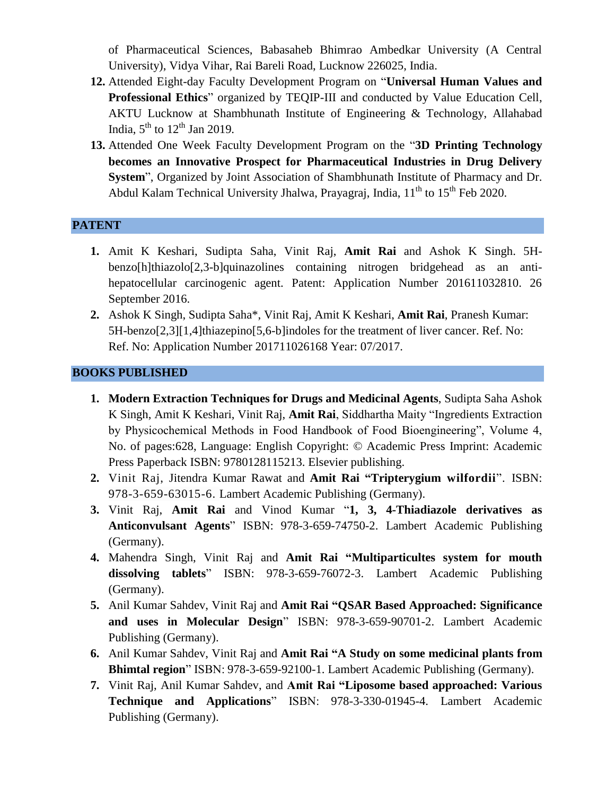of Pharmaceutical Sciences, Babasaheb Bhimrao Ambedkar University (A Central University), Vidya Vihar, Rai Bareli Road, Lucknow 226025, India.

- **12.** Attended Eight-day Faculty Development Program on "**Universal Human Values and Professional Ethics**" organized by TEQIP-III and conducted by Value Education Cell, AKTU Lucknow at Shambhunath Institute of Engineering & Technology, Allahabad India,  $5^{\text{th}}$  to  $12^{\text{th}}$  Jan 2019.
- **13.** Attended One Week Faculty Development Program on the "**3D Printing Technology becomes an Innovative Prospect for Pharmaceutical Industries in Drug Delivery System**", Organized by Joint Association of Shambhunath Institute of Pharmacy and Dr. Abdul Kalam Technical University Jhalwa, Prayagraj, India, 11<sup>th</sup> to 15<sup>th</sup> Feb 2020.

### **PATENT**

- **1.** Amit K Keshari, Sudipta Saha, Vinit Raj, **Amit Rai** and Ashok K Singh. 5Hbenzo[h]thiazolo[2,3-b]quinazolines containing nitrogen bridgehead as an antihepatocellular carcinogenic agent. Patent: Application Number 201611032810. 26 September 2016.
- **2.** Ashok K Singh, Sudipta Saha\*, Vinit Raj, Amit K Keshari, **Amit Rai**, Pranesh Kumar: 5H-benzo[2,3][1,4]thiazepino[5,6-b]indoles for the treatment of liver cancer. Ref. No: Ref. No: Application Number 201711026168 Year: 07/2017.

### **BOOKS PUBLISHED**

- **1. Modern Extraction Techniques for Drugs and Medicinal Agents**, Sudipta Saha Ashok K Singh, Amit K Keshari, Vinit Raj, **Amit Rai**, Siddhartha Maity "Ingredients Extraction by Physicochemical Methods in Food Handbook of Food Bioengineering", Volume 4, No. of pages:628, Language: English Copyright: © Academic Press Imprint: Academic Press Paperback ISBN: 9780128115213. Elsevier publishing.
- **2.** Vinit Raj, Jitendra Kumar Rawat and **Amit Rai "Tripterygium wilfordii**". ISBN: 978-3-659-63015-6. Lambert Academic Publishing (Germany).
- **3.** Vinit Raj, **Amit Rai** and Vinod Kumar "**1, 3, 4-Thiadiazole derivatives as Anticonvulsant Agents**" ISBN: 978-3-659-74750-2. Lambert Academic Publishing (Germany).
- **4.** Mahendra Singh, Vinit Raj and **Amit Rai "Multiparticultes system for mouth dissolving tablets**" ISBN: 978-3-659-76072-3. Lambert Academic Publishing (Germany).
- **5.** Anil Kumar Sahdev, Vinit Raj and **Amit Rai "QSAR Based Approached: Significance and uses in Molecular Design**" ISBN: 978-3-659-90701-2. Lambert Academic Publishing (Germany).
- **6.** Anil Kumar Sahdev, Vinit Raj and **Amit Rai "A Study on some medicinal plants from Bhimtal region**" ISBN: 978-3-659-92100-1. Lambert Academic Publishing (Germany).
- **7.** Vinit Raj, Anil Kumar Sahdev, and **Amit Rai "Liposome based approached: Various Technique and Applications**" ISBN: 978-3-330-01945-4. Lambert Academic Publishing (Germany).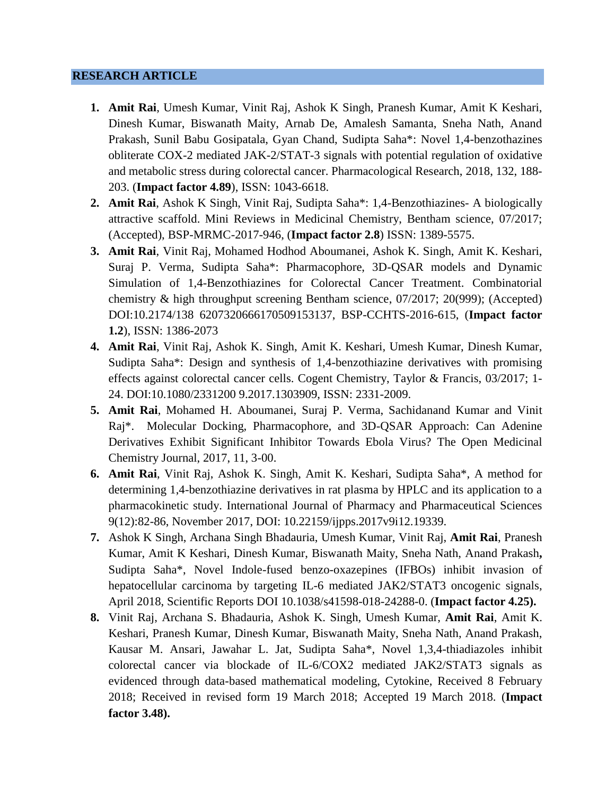#### **RESEARCH ARTICLE**

- **1. Amit Rai**, Umesh Kumar, Vinit Raj, Ashok K Singh, Pranesh Kumar, Amit K Keshari, Dinesh Kumar, Biswanath Maity, Arnab De, Amalesh Samanta, Sneha Nath, Anand Prakash, Sunil Babu Gosipatala, Gyan Chand, Sudipta Saha\*: Novel 1,4-benzothazines obliterate COX-2 mediated JAK-2/STAT-3 signals with potential regulation of oxidative and metabolic stress during colorectal cancer. Pharmacological Research, 2018, 132, 188- 203. (**Impact factor 4.89**), ISSN: 1043-6618.
- **2. Amit Rai**, Ashok K Singh, Vinit Raj, Sudipta Saha\*: 1,4-Benzothiazines- A biologically attractive scaffold. Mini Reviews in Medicinal Chemistry, Bentham science, 07/2017; (Accepted), BSP-MRMC-2017-946, (**Impact factor 2.8**) ISSN: 1389-5575.
- **3. Amit Rai**, Vinit Raj, Mohamed Hodhod Aboumanei, Ashok K. Singh, Amit K. Keshari, Suraj P. Verma, Sudipta Saha\*: Pharmacophore, 3D-QSAR models and Dynamic Simulation of 1,4-Benzothiazines for Colorectal Cancer Treatment. Combinatorial chemistry & high throughput screening Bentham science, 07/2017; 20(999); (Accepted) DOI:10.2174/138 6207320666170509153137, BSP-CCHTS-2016-615, (**Impact factor 1.2**), ISSN: 1386-2073
- **4. Amit Rai**, Vinit Raj, Ashok K. Singh, Amit K. Keshari, Umesh Kumar, Dinesh Kumar, Sudipta Saha\*: Design and synthesis of 1,4-benzothiazine derivatives with promising effects against colorectal cancer cells. Cogent Chemistry, Taylor & Francis, 03/2017; 1- 24. DOI:10.1080/2331200 9.2017.1303909, ISSN: 2331-2009.
- **5. Amit Rai**, Mohamed H. Aboumanei, Suraj P. Verma, Sachidanand Kumar and Vinit Raj\*. Molecular Docking, Pharmacophore, and 3D-QSAR Approach: Can Adenine Derivatives Exhibit Significant Inhibitor Towards Ebola Virus? The Open Medicinal Chemistry Journal, 2017, 11, 3-00.
- **6. Amit Rai**, Vinit Raj, Ashok K. Singh, Amit K. Keshari, Sudipta Saha\*, A method for determining 1,4-benzothiazine derivatives in rat plasma by HPLC and its application to a pharmacokinetic study. International Journal of Pharmacy and Pharmaceutical Sciences 9(12):82-86, November 2017, DOI: 10.22159/ijpps.2017v9i12.19339.
- **7.** Ashok K Singh, Archana Singh Bhadauria, Umesh Kumar, Vinit Raj, **Amit Rai**, Pranesh Kumar, Amit K Keshari, Dinesh Kumar, Biswanath Maity, Sneha Nath, Anand Prakash**,**  Sudipta Saha\*, Novel Indole-fused benzo-oxazepines (IFBOs) inhibit invasion of hepatocellular carcinoma by targeting IL-6 mediated JAK2/STAT3 oncogenic signals, April 2018, Scientific Reports DOI 10.1038/s41598-018-24288-0. (**Impact factor 4.25).**
- **8.** Vinit Raj, Archana S. Bhadauria, Ashok K. Singh, Umesh Kumar, **Amit Rai**, Amit K. Keshari, Pranesh Kumar, Dinesh Kumar, Biswanath Maity, Sneha Nath, Anand Prakash, Kausar M. Ansari, Jawahar L. Jat, Sudipta Saha\*, Novel 1,3,4-thiadiazoles inhibit colorectal cancer via blockade of IL-6/COX2 mediated JAK2/STAT3 signals as evidenced through data-based mathematical modeling, Cytokine, Received 8 February 2018; Received in revised form 19 March 2018; Accepted 19 March 2018. (**Impact factor 3.48).**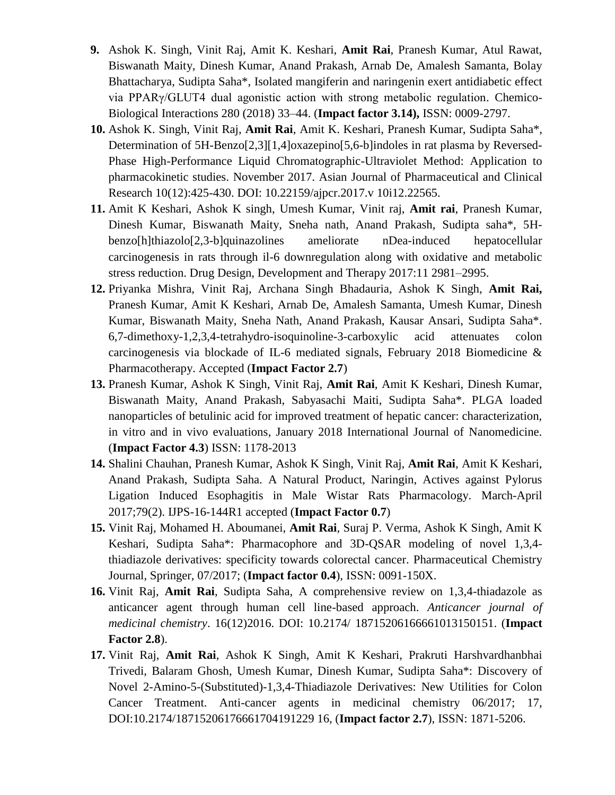- **9.** Ashok K. Singh, Vinit Raj, Amit K. Keshari, **Amit Rai**, Pranesh Kumar, Atul Rawat, Biswanath Maity, Dinesh Kumar, Anand Prakash, Arnab De, Amalesh Samanta, Bolay Bhattacharya, Sudipta Saha\*, Isolated mangiferin and naringenin exert antidiabetic effect via PPARγ/GLUT4 dual agonistic action with strong metabolic regulation. Chemico-Biological Interactions 280 (2018) 33–44. (**Impact factor 3.14),** ISSN: 0009-2797.
- **10.** Ashok K. Singh, Vinit Raj, **Amit Rai**, Amit K. Keshari, Pranesh Kumar, Sudipta Saha\*, Determination of 5H-Benzo[2,3][1,4]oxazepino[5,6-b]indoles in rat plasma by Reversed-Phase High-Performance Liquid Chromatographic-Ultraviolet Method: Application to pharmacokinetic studies. November 2017. Asian Journal of Pharmaceutical and Clinical Research 10(12):425-430. DOI: 10.22159/ajpcr.2017.v 10i12.22565.
- **11.** Amit K Keshari, Ashok K singh, Umesh Kumar, Vinit raj, **Amit rai**, Pranesh Kumar, Dinesh Kumar, Biswanath Maity, Sneha nath, Anand Prakash, Sudipta saha\*, 5Hbenzo[h]thiazolo[2,3-b]quinazolines ameliorate nDea-induced hepatocellular carcinogenesis in rats through il-6 downregulation along with oxidative and metabolic stress reduction. Drug Design, Development and Therapy 2017:11 2981–2995.
- **12.** Priyanka Mishra, Vinit Raj, Archana Singh Bhadauria, Ashok K Singh, **Amit Rai,**  Pranesh Kumar, Amit K Keshari, Arnab De, Amalesh Samanta, Umesh Kumar, Dinesh Kumar, Biswanath Maity, Sneha Nath, Anand Prakash, Kausar Ansari, Sudipta Saha\*. 6,7-dimethoxy-1,2,3,4-tetrahydro-isoquinoline-3-carboxylic acid attenuates colon carcinogenesis via blockade of IL-6 mediated signals, February 2018 Biomedicine & Pharmacotherapy. Accepted (**Impact Factor 2.7**)
- **13.** Pranesh Kumar, Ashok K Singh, Vinit Raj, **Amit Rai**, Amit K Keshari, Dinesh Kumar, Biswanath Maity, Anand Prakash, Sabyasachi Maiti, Sudipta Saha\*. PLGA loaded nanoparticles of betulinic acid for improved treatment of hepatic cancer: characterization, in vitro and in vivo evaluations, January 2018 International Journal of Nanomedicine. (**Impact Factor 4.3**) ISSN: 1178-2013
- **14.** Shalini Chauhan, Pranesh Kumar, Ashok K Singh, Vinit Raj, **Amit Rai**, Amit K Keshari, Anand Prakash, Sudipta Saha. A Natural Product, Naringin, Actives against Pylorus Ligation Induced Esophagitis in Male Wistar Rats Pharmacology. March-April 2017;79(2). IJPS-16-144R1 accepted (**Impact Factor 0.7**)
- **15.** Vinit Raj, Mohamed H. Aboumanei, **Amit Rai**, Suraj P. Verma, Ashok K Singh, Amit K Keshari, Sudipta Saha\*: Pharmacophore and 3D-QSAR modeling of novel 1,3,4 thiadiazole derivatives: specificity towards colorectal cancer. Pharmaceutical Chemistry Journal, Springer, 07/2017; (**Impact factor 0.4**), ISSN: 0091-150X.
- **16.** Vinit Raj, **Amit Rai**, Sudipta Saha, A comprehensive review on 1,3,4-thiadazole as anticancer agent through human cell line-based approach. *Anticancer journal of medicinal chemistry*. 16(12)2016. DOI: 10.2174/ 18715206166661013150151. (**Impact Factor 2.8**).
- **17.** Vinit Raj, **Amit Rai**, Ashok K Singh, Amit K Keshari, Prakruti Harshvardhanbhai Trivedi, Balaram Ghosh, Umesh Kumar, Dinesh Kumar, Sudipta Saha\*: Discovery of Novel 2-Amino-5-(Substituted)-1,3,4-Thiadiazole Derivatives: New Utilities for Colon Cancer Treatment. Anti-cancer agents in medicinal chemistry 06/2017; 17, DOI:10.2174/18715206176661704191229 16, (**Impact factor 2.7**), ISSN: 1871-5206.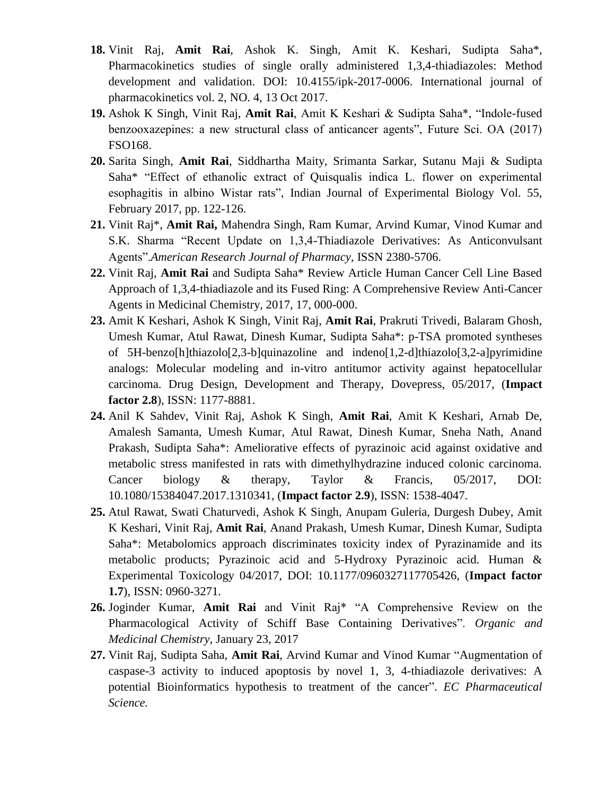- **18.** Vinit Raj, **Amit Rai**, Ashok K. Singh, Amit K. Keshari, Sudipta Saha\*, Pharmacokinetics studies of single orally administered 1,3,4-thiadiazoles: Method development and validation. DOI: 10.4155/ipk-2017-0006. International journal of pharmacokinetics vol. 2, NO. 4, 13 Oct 2017.
- **19.** Ashok K Singh, Vinit Raj, **Amit Rai**, Amit K Keshari & Sudipta Saha\*, "Indole-fused benzooxazepines: a new structural class of anticancer agents", Future Sci. OA (2017) FSO168.
- **20.** Sarita Singh, **Amit Rai**, Siddhartha Maity, Srimanta Sarkar, Sutanu Maji & Sudipta Saha\* "Effect of ethanolic extract of Quisqualis indica L. flower on experimental esophagitis in albino Wistar rats", Indian Journal of Experimental Biology Vol. 55, February 2017, pp. 122-126.
- **21.** Vinit Raj\*, **Amit Rai,** Mahendra Singh, Ram Kumar, Arvind Kumar, Vinod Kumar and S.K. Sharma "Recent Update on 1,3,4-Thiadiazole Derivatives: As Anticonvulsant Agents".*American Research Journal of Pharmacy,* ISSN 2380-5706.
- **22.** Vinit Raj, **Amit Rai** and Sudipta Saha\* Review Article Human Cancer Cell Line Based Approach of 1,3,4-thiadiazole and its Fused Ring: A Comprehensive Review Anti-Cancer Agents in Medicinal Chemistry, 2017, 17, 000-000.
- **23.** Amit K Keshari, Ashok K Singh, Vinit Raj, **Amit Rai**, Prakruti Trivedi, Balaram Ghosh, Umesh Kumar, Atul Rawat, Dinesh Kumar, Sudipta Saha\*: p-TSA promoted syntheses of 5H-benzo[h]thiazolo[2,3-b]quinazoline and indeno[1,2-d]thiazolo[3,2-a]pyrimidine analogs: Molecular modeling and in-vitro antitumor activity against hepatocellular carcinoma. Drug Design, Development and Therapy, Dovepress, 05/2017, (**Impact factor 2.8**), ISSN: 1177-8881.
- **24.** Anil K Sahdev, Vinit Raj, Ashok K Singh, **Amit Rai**, Amit K Keshari, Arnab De, Amalesh Samanta, Umesh Kumar, Atul Rawat, Dinesh Kumar, Sneha Nath, Anand Prakash, Sudipta Saha\*: Ameliorative effects of pyrazinoic acid against oxidative and metabolic stress manifested in rats with dimethylhydrazine induced colonic carcinoma. Cancer biology & therapy, Taylor & Francis, 05/2017, DOI: 10.1080/15384047.2017.1310341, (**Impact factor 2.9**), ISSN: 1538-4047.
- **25.** Atul Rawat, Swati Chaturvedi, Ashok K Singh, Anupam Guleria, Durgesh Dubey, Amit K Keshari, Vinit Raj, **Amit Rai**, Anand Prakash, Umesh Kumar, Dinesh Kumar, Sudipta Saha\*: Metabolomics approach discriminates toxicity index of Pyrazinamide and its metabolic products; Pyrazinoic acid and 5-Hydroxy Pyrazinoic acid. Human & Experimental Toxicology 04/2017, DOI: 10.1177/0960327117705426, (**Impact factor 1.7**), ISSN: 0960-3271.
- **26.** Joginder Kumar, **Amit Rai** and Vinit Raj\* "A Comprehensive Review on the Pharmacological Activity of Schiff Base Containing Derivatives". *Organic and Medicinal Chemistry,* January 23, 2017
- **27.** Vinit Raj, Sudipta Saha, **Amit Rai**, Arvind Kumar and Vinod Kumar "Augmentation of caspase-3 activity to induced apoptosis by novel 1, 3, 4-thiadiazole derivatives: A potential Bioinformatics hypothesis to treatment of the cancer". *EC Pharmaceutical Science.*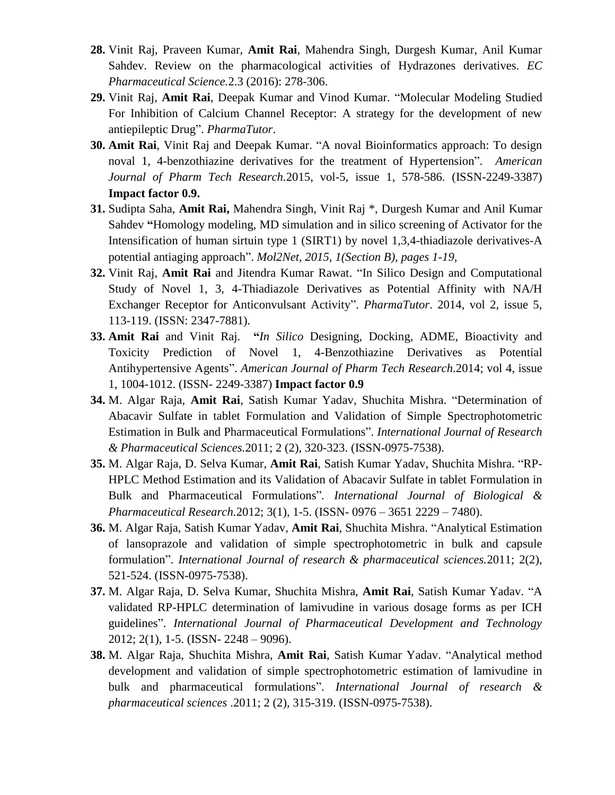- **28.** Vinit Raj, Praveen Kumar, **Amit Rai**, Mahendra Singh, Durgesh Kumar, Anil Kumar Sahdev. Review on the pharmacological activities of Hydrazones derivatives. *EC Pharmaceutical Science.*2.3 (2016): 278-306.
- **29.** Vinit Raj, **Amit Rai**, Deepak Kumar and Vinod Kumar. ["Molecular Modeling Studied](http://www.pharmatutor.org/articles/molecular-modeling-studied-inhibition-calcium-channel-receptor-strategy-antiepileptic-drug)  For Inhibition [of Calcium Channel Receptor: A strategy for the development of new](http://www.pharmatutor.org/articles/molecular-modeling-studied-inhibition-calcium-channel-receptor-strategy-antiepileptic-drug)  [antiepileptic Drug"](http://www.pharmatutor.org/articles/molecular-modeling-studied-inhibition-calcium-channel-receptor-strategy-antiepileptic-drug). *PharmaTutor*.
- **30. Amit Rai**, Vinit Raj and Deepak Kumar. "A noval Bioinformatics approach: To design noval 1, 4-benzothiazine derivatives for the treatment of Hypertension". *American Journal of Pharm Tech Research.*2015, vol-5, issue 1, 578-586. (ISSN-2249-3387) **Impact factor 0.9.**
- **31.** Sudipta Saha, **Amit Rai,** Mahendra Singh, Vinit Raj \*, Durgesh Kumar and Anil Kumar Sahdev **"**Homology modeling, MD simulation and in silico screening of Activator for the Intensification of human sirtuin type 1 (SIRT1) by novel 1,3,4-thiadiazole derivatives-A potential antiaging approach". *Mol2Net, 2015, 1(Section B), pages 1-19,*
- **32.** Vinit Raj, **Amit Rai** and Jitendra Kumar Rawat. "In Silico Design and Computational Study of Novel 1, 3, 4-Thiadiazole Derivatives as Potential Affinity with NA/H Exchanger Receptor for Anticonvulsant Activity". *PharmaTutor*. 2014, vol 2, issue 5, 113-119. (ISSN: 2347-7881).
- **33. Amit Rai** and Vinit Raj. **"***In Silico* Designing, Docking, ADME, Bioactivity and Toxicity Prediction of Novel 1, 4-Benzothiazine Derivatives as Potential Antihypertensive Agents". *American Journal of Pharm Tech Research*.2014; vol 4, issue 1, 1004-1012. (ISSN- 2249-3387) **Impact factor 0.9**
- **34.** M. Algar Raja, **Amit Rai**, Satish Kumar Yadav, Shuchita Mishra. "Determination of Abacavir Sulfate in tablet Formulation and Validation of Simple Spectrophotometric Estimation in Bulk and Pharmaceutical Formulations". *International Journal of Research & Pharmaceutical Sciences.*2011; 2 (2), 320-323. (ISSN-0975-7538).
- **35.** M. Algar Raja, D. Selva Kumar, **Amit Rai**, Satish Kumar Yadav, Shuchita Mishra. "RP-HPLC Method Estimation and its Validation of Abacavir Sulfate in tablet Formulation in Bulk and Pharmaceutical Formulations"*. International Journal of Biological & Pharmaceutical Research.*2012; 3(1), 1-5. (ISSN- 0976 – 3651 2229 – 7480).
- **36.** M. Algar Raja, Satish Kumar Yadav, **Amit Rai**, Shuchita Mishra. "Analytical Estimation of lansoprazole and validation of simple spectrophotometric in bulk and capsule formulation". *International Journal of research & pharmaceutical sciences.*2011; 2(2), 521-524. (ISSN-0975-7538).
- **37.** M. Algar Raja, D. Selva Kumar, Shuchita Mishra, **Amit Rai**, Satish Kumar Yadav. "A validated RP-HPLC determination of lamivudine in various dosage forms as per ICH guidelines". *International Journal of Pharmaceutical Development and Technology* 2012; 2(1), 1-5. (ISSN- 2248 – 9096).
- **38.** M. Algar Raja, Shuchita Mishra, **Amit Rai**, Satish Kumar Yadav. "Analytical method development and validation of simple spectrophotometric estimation of lamivudine in bulk and pharmaceutical formulations". *International Journal of research & pharmaceutical sciences* .2011; 2 (2), 315-319. (ISSN-0975-7538).